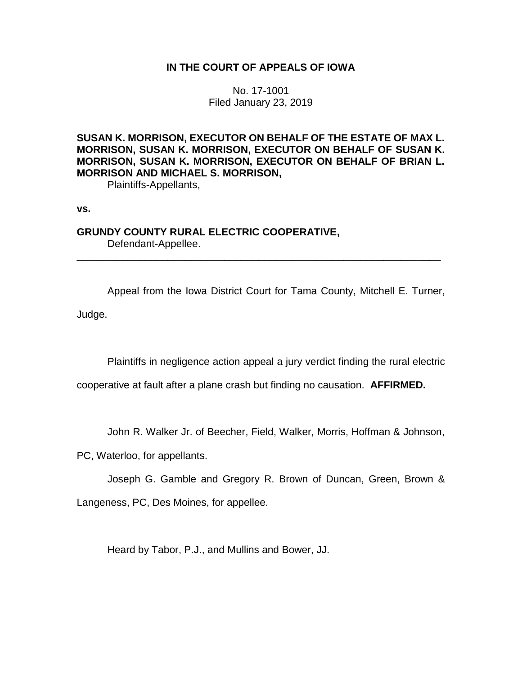# **IN THE COURT OF APPEALS OF IOWA**

No. 17-1001 Filed January 23, 2019

**SUSAN K. MORRISON, EXECUTOR ON BEHALF OF THE ESTATE OF MAX L. MORRISON, SUSAN K. MORRISON, EXECUTOR ON BEHALF OF SUSAN K. MORRISON, SUSAN K. MORRISON, EXECUTOR ON BEHALF OF BRIAN L. MORRISON AND MICHAEL S. MORRISON,**

Plaintiffs-Appellants,

**vs.**

**GRUNDY COUNTY RURAL ELECTRIC COOPERATIVE,** Defendant-Appellee.

Appeal from the Iowa District Court for Tama County, Mitchell E. Turner, Judge.

\_\_\_\_\_\_\_\_\_\_\_\_\_\_\_\_\_\_\_\_\_\_\_\_\_\_\_\_\_\_\_\_\_\_\_\_\_\_\_\_\_\_\_\_\_\_\_\_\_\_\_\_\_\_\_\_\_\_\_\_\_\_\_\_

Plaintiffs in negligence action appeal a jury verdict finding the rural electric

cooperative at fault after a plane crash but finding no causation. **AFFIRMED.** 

John R. Walker Jr. of Beecher, Field, Walker, Morris, Hoffman & Johnson,

PC, Waterloo, for appellants.

Joseph G. Gamble and Gregory R. Brown of Duncan, Green, Brown & Langeness, PC, Des Moines, for appellee.

Heard by Tabor, P.J., and Mullins and Bower, JJ.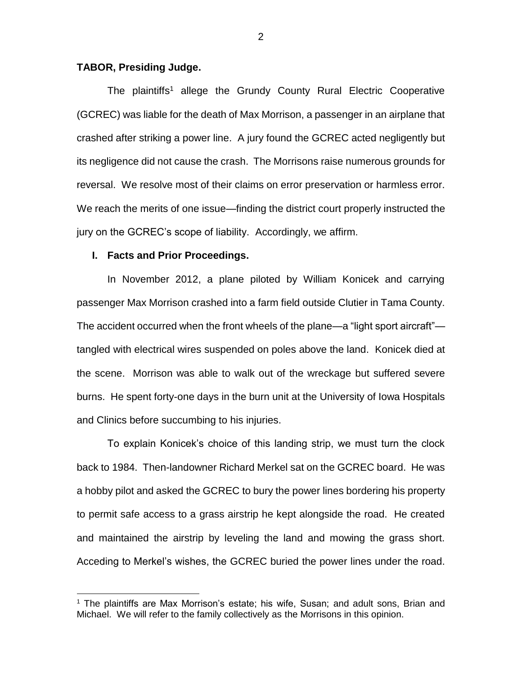## **TABOR, Presiding Judge.**

The plaintiffs<sup>1</sup> allege the Grundy County Rural Electric Cooperative (GCREC) was liable for the death of Max Morrison, a passenger in an airplane that crashed after striking a power line. A jury found the GCREC acted negligently but its negligence did not cause the crash. The Morrisons raise numerous grounds for reversal. We resolve most of their claims on error preservation or harmless error. We reach the merits of one issue—finding the district court properly instructed the jury on the GCREC's scope of liability. Accordingly, we affirm.

## **I. Facts and Prior Proceedings.**

 $\overline{a}$ 

In November 2012, a plane piloted by William Konicek and carrying passenger Max Morrison crashed into a farm field outside Clutier in Tama County. The accident occurred when the front wheels of the plane—a "light sport aircraft" tangled with electrical wires suspended on poles above the land. Konicek died at the scene. Morrison was able to walk out of the wreckage but suffered severe burns. He spent forty-one days in the burn unit at the University of Iowa Hospitals and Clinics before succumbing to his injuries.

To explain Konicek's choice of this landing strip, we must turn the clock back to 1984. Then-landowner Richard Merkel sat on the GCREC board. He was a hobby pilot and asked the GCREC to bury the power lines bordering his property to permit safe access to a grass airstrip he kept alongside the road. He created and maintained the airstrip by leveling the land and mowing the grass short. Acceding to Merkel's wishes, the GCREC buried the power lines under the road.

<sup>&</sup>lt;sup>1</sup> The plaintiffs are Max Morrison's estate; his wife, Susan; and adult sons, Brian and Michael. We will refer to the family collectively as the Morrisons in this opinion.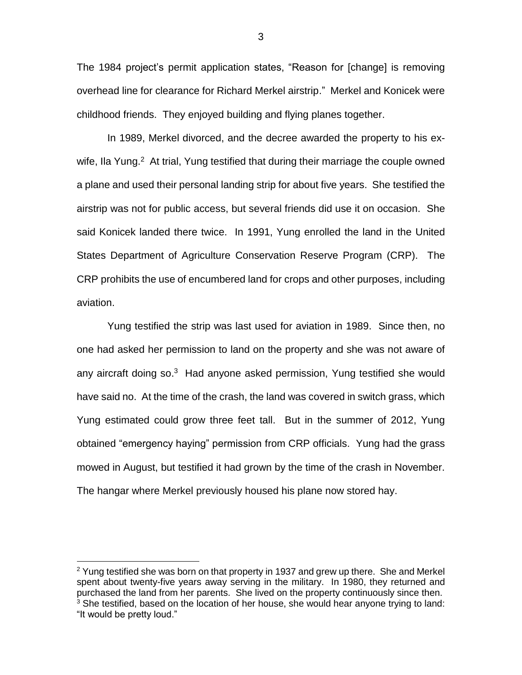The 1984 project's permit application states, "Reason for [change] is removing overhead line for clearance for Richard Merkel airstrip." Merkel and Konicek were childhood friends. They enjoyed building and flying planes together.

In 1989, Merkel divorced, and the decree awarded the property to his exwife, Ila Yung.<sup>2</sup> At trial, Yung testified that during their marriage the couple owned a plane and used their personal landing strip for about five years. She testified the airstrip was not for public access, but several friends did use it on occasion. She said Konicek landed there twice. In 1991, Yung enrolled the land in the United States Department of Agriculture Conservation Reserve Program (CRP). The CRP prohibits the use of encumbered land for crops and other purposes, including aviation.

Yung testified the strip was last used for aviation in 1989. Since then, no one had asked her permission to land on the property and she was not aware of any aircraft doing so.<sup>3</sup> Had anyone asked permission, Yung testified she would have said no. At the time of the crash, the land was covered in switch grass, which Yung estimated could grow three feet tall. But in the summer of 2012, Yung obtained "emergency haying" permission from CRP officials. Yung had the grass mowed in August, but testified it had grown by the time of the crash in November. The hangar where Merkel previously housed his plane now stored hay.

 $\overline{a}$ 

3

 $2$  Yung testified she was born on that property in 1937 and grew up there. She and Merkel spent about twenty-five years away serving in the military. In 1980, they returned and purchased the land from her parents. She lived on the property continuously since then. <sup>3</sup> She testified, based on the location of her house, she would hear anyone trying to land: "It would be pretty loud."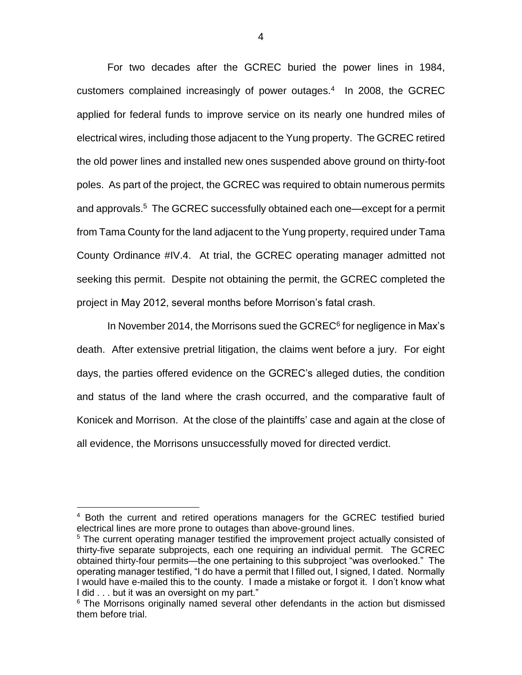For two decades after the GCREC buried the power lines in 1984, customers complained increasingly of power outages.<sup>4</sup> In 2008, the GCREC applied for federal funds to improve service on its nearly one hundred miles of electrical wires, including those adjacent to the Yung property. The GCREC retired the old power lines and installed new ones suspended above ground on thirty-foot poles. As part of the project, the GCREC was required to obtain numerous permits and approvals.<sup>5</sup> The GCREC successfully obtained each one—except for a permit from Tama County for the land adjacent to the Yung property, required under Tama County Ordinance #IV.4. At trial, the GCREC operating manager admitted not seeking this permit. Despite not obtaining the permit, the GCREC completed the project in May 2012, several months before Morrison's fatal crash.

In November 2014, the Morrisons sued the GCREC<sup>6</sup> for negligence in Max's death. After extensive pretrial litigation, the claims went before a jury. For eight days, the parties offered evidence on the GCREC's alleged duties, the condition and status of the land where the crash occurred, and the comparative fault of Konicek and Morrison. At the close of the plaintiffs' case and again at the close of all evidence, the Morrisons unsuccessfully moved for directed verdict.

<sup>4</sup> Both the current and retired operations managers for the GCREC testified buried electrical lines are more prone to outages than above-ground lines.

<sup>&</sup>lt;sup>5</sup> The current operating manager testified the improvement project actually consisted of thirty-five separate subprojects, each one requiring an individual permit. The GCREC obtained thirty-four permits—the one pertaining to this subproject "was overlooked." The operating manager testified, "I do have a permit that I filled out, I signed, I dated. Normally I would have e-mailed this to the county. I made a mistake or forgot it. I don't know what I did . . . but it was an oversight on my part."

 $6$  The Morrisons originally named several other defendants in the action but dismissed them before trial.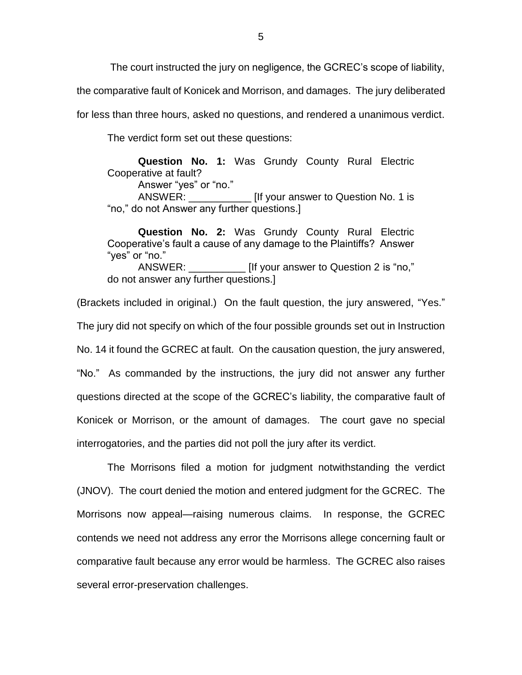The court instructed the jury on negligence, the GCREC's scope of liability,

the comparative fault of Konicek and Morrison, and damages. The jury deliberated

for less than three hours, asked no questions, and rendered a unanimous verdict.

The verdict form set out these questions:

**Question No. 1:** Was Grundy County Rural Electric Cooperative at fault?

Answer "yes" or "no."

ANSWER: \_\_\_\_\_\_\_\_\_\_\_ [If your answer to Question No. 1 is "no," do not Answer any further questions.]

**Question No. 2:** Was Grundy County Rural Electric Cooperative's fault a cause of any damage to the Plaintiffs? Answer "yes" or "no."

ANSWER: \_\_\_\_\_\_\_\_\_\_ [If your answer to Question 2 is "no," do not answer any further questions.]

(Brackets included in original.) On the fault question, the jury answered, "Yes." The jury did not specify on which of the four possible grounds set out in Instruction No. 14 it found the GCREC at fault. On the causation question, the jury answered, "No." As commanded by the instructions, the jury did not answer any further questions directed at the scope of the GCREC's liability, the comparative fault of Konicek or Morrison, or the amount of damages. The court gave no special interrogatories, and the parties did not poll the jury after its verdict.

The Morrisons filed a motion for judgment notwithstanding the verdict (JNOV). The court denied the motion and entered judgment for the GCREC. The Morrisons now appeal—raising numerous claims. In response, the GCREC contends we need not address any error the Morrisons allege concerning fault or comparative fault because any error would be harmless. The GCREC also raises several error-preservation challenges.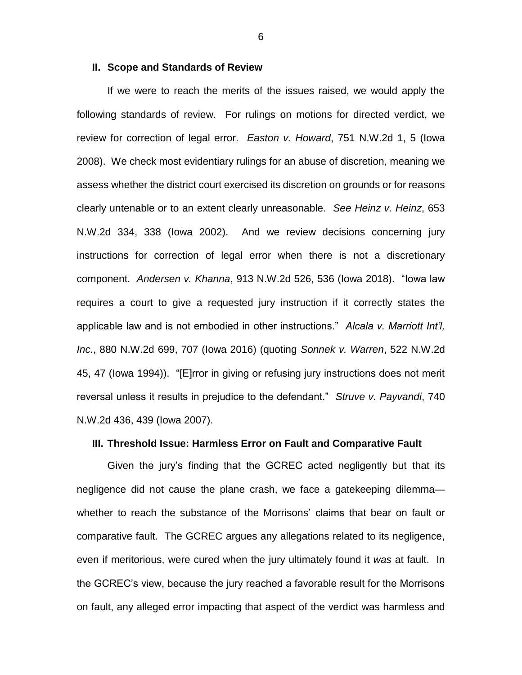#### **II. Scope and Standards of Review**

If we were to reach the merits of the issues raised, we would apply the following standards of review. For rulings on motions for directed verdict, we review for correction of legal error. *Easton v. Howard*, 751 N.W.2d 1, 5 (Iowa 2008). We check most evidentiary rulings for an abuse of discretion, meaning we assess whether the district court exercised its discretion on grounds or for reasons clearly untenable or to an extent clearly unreasonable. *See Heinz v. Heinz*, 653 N.W.2d 334, 338 (Iowa 2002). And we review decisions concerning jury instructions for correction of legal error when there is not a discretionary component. *Andersen v. Khanna*, 913 N.W.2d 526, 536 (Iowa 2018). "Iowa law requires a court to give a requested jury instruction if it correctly states the applicable law and is not embodied in other instructions." *Alcala v. Marriott Int'l, Inc.*, 880 N.W.2d 699, 707 (Iowa 2016) (quoting *Sonnek v. Warren*, 522 N.W.2d 45, 47 (Iowa 1994)). "[E]rror in giving or refusing jury instructions does not merit reversal unless it results in prejudice to the defendant." *Struve v. Payvandi*, 740 N.W.2d 436, 439 (Iowa 2007).

#### **III. Threshold Issue: Harmless Error on Fault and Comparative Fault**

Given the jury's finding that the GCREC acted negligently but that its negligence did not cause the plane crash, we face a gatekeeping dilemma whether to reach the substance of the Morrisons' claims that bear on fault or comparative fault. The GCREC argues any allegations related to its negligence, even if meritorious, were cured when the jury ultimately found it *was* at fault. In the GCREC's view, because the jury reached a favorable result for the Morrisons on fault, any alleged error impacting that aspect of the verdict was harmless and

6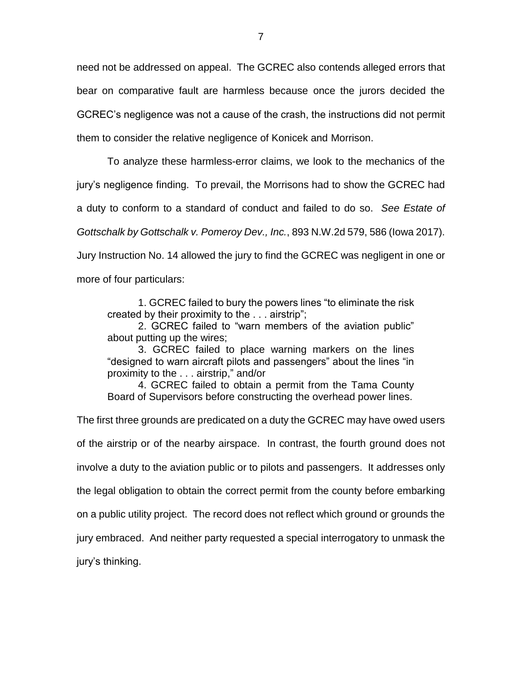need not be addressed on appeal. The GCREC also contends alleged errors that bear on comparative fault are harmless because once the jurors decided the GCREC's negligence was not a cause of the crash, the instructions did not permit them to consider the relative negligence of Konicek and Morrison.

To analyze these harmless-error claims, we look to the mechanics of the jury's negligence finding. To prevail, the Morrisons had to show the GCREC had a duty to conform to a standard of conduct and failed to do so. *See Estate of Gottschalk by Gottschalk v. Pomeroy Dev., Inc.*, 893 N.W.2d 579, 586 (Iowa 2017). Jury Instruction No. 14 allowed the jury to find the GCREC was negligent in one or more of four particulars:

1. GCREC failed to bury the powers lines "to eliminate the risk created by their proximity to the . . . airstrip";

2. GCREC failed to "warn members of the aviation public" about putting up the wires;

3. GCREC failed to place warning markers on the lines "designed to warn aircraft pilots and passengers" about the lines "in proximity to the . . . airstrip," and/or

4. GCREC failed to obtain a permit from the Tama County Board of Supervisors before constructing the overhead power lines.

The first three grounds are predicated on a duty the GCREC may have owed users

of the airstrip or of the nearby airspace. In contrast, the fourth ground does not

involve a duty to the aviation public or to pilots and passengers. It addresses only

the legal obligation to obtain the correct permit from the county before embarking

on a public utility project. The record does not reflect which ground or grounds the

jury embraced. And neither party requested a special interrogatory to unmask the

jury's thinking.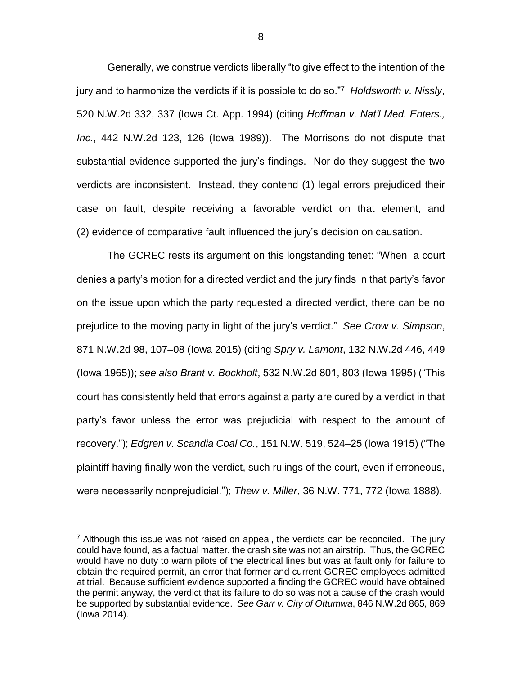Generally, we construe verdicts liberally "to give effect to the intention of the jury and to harmonize the verdicts if it is possible to do so."<sup>7</sup> *Holdsworth v. Nissly*, 520 N.W.2d 332, 337 (Iowa Ct. App. 1994) (citing *Hoffman v. Nat'l Med. Enters., Inc.*, 442 N.W.2d 123, 126 (Iowa 1989)). The Morrisons do not dispute that substantial evidence supported the jury's findings. Nor do they suggest the two verdicts are inconsistent. Instead, they contend (1) legal errors prejudiced their case on fault, despite receiving a favorable verdict on that element, and (2) evidence of comparative fault influenced the jury's decision on causation.

The GCREC rests its argument on this longstanding tenet: "When a court denies a party's motion for a directed verdict and the jury finds in that party's favor on the issue upon which the party requested a directed verdict, there can be no prejudice to the moving party in light of the jury's verdict." *See Crow v. Simpson*, 871 N.W.2d 98, 107–08 (Iowa 2015) (citing *Spry v. Lamont*, 132 N.W.2d 446, 449 (Iowa 1965)); *see also Brant v. Bockholt*, 532 N.W.2d 801, 803 (Iowa 1995) ("This court has consistently held that errors against a party are cured by a verdict in that party's favor unless the error was prejudicial with respect to the amount of recovery."); *Edgren v. Scandia Coal Co.*, 151 N.W. 519, 524–25 (Iowa 1915) ("The plaintiff having finally won the verdict, such rulings of the court, even if erroneous, were necessarily nonprejudicial."); *Thew v. Miller*, 36 N.W. 771, 772 (Iowa 1888).

 $<sup>7</sup>$  Although this issue was not raised on appeal, the verdicts can be reconciled. The jury</sup> could have found, as a factual matter, the crash site was not an airstrip. Thus, the GCREC would have no duty to warn pilots of the electrical lines but was at fault only for failure to obtain the required permit, an error that former and current GCREC employees admitted at trial. Because sufficient evidence supported a finding the GCREC would have obtained the permit anyway, the verdict that its failure to do so was not a cause of the crash would be supported by substantial evidence. *See Garr v. City of Ottumwa*, 846 N.W.2d 865, 869 (Iowa 2014).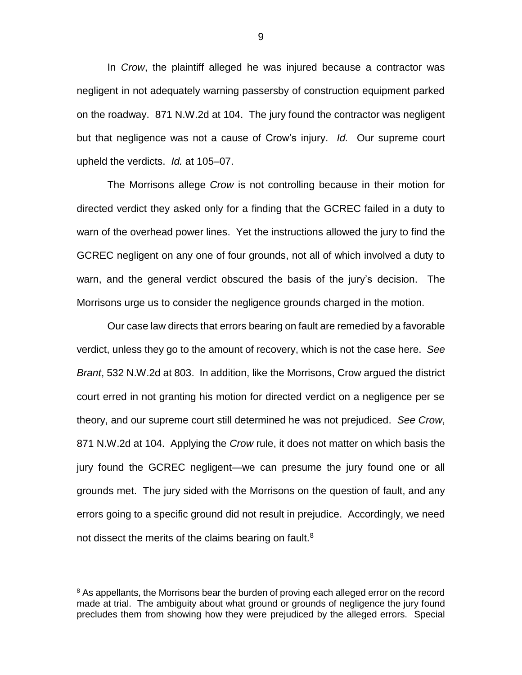In *Crow*, the plaintiff alleged he was injured because a contractor was negligent in not adequately warning passersby of construction equipment parked on the roadway. 871 N.W.2d at 104. The jury found the contractor was negligent but that negligence was not a cause of Crow's injury. *Id.* Our supreme court upheld the verdicts. *Id.* at 105–07.

The Morrisons allege *Crow* is not controlling because in their motion for directed verdict they asked only for a finding that the GCREC failed in a duty to warn of the overhead power lines. Yet the instructions allowed the jury to find the GCREC negligent on any one of four grounds, not all of which involved a duty to warn, and the general verdict obscured the basis of the jury's decision. The Morrisons urge us to consider the negligence grounds charged in the motion.

Our case law directs that errors bearing on fault are remedied by a favorable verdict, unless they go to the amount of recovery, which is not the case here. *See Brant*, 532 N.W.2d at 803. In addition, like the Morrisons, Crow argued the district court erred in not granting his motion for directed verdict on a negligence per se theory, and our supreme court still determined he was not prejudiced. *See Crow*, 871 N.W.2d at 104. Applying the *Crow* rule, it does not matter on which basis the jury found the GCREC negligent—we can presume the jury found one or all grounds met. The jury sided with the Morrisons on the question of fault, and any errors going to a specific ground did not result in prejudice. Accordingly, we need not dissect the merits of the claims bearing on fault.<sup>8</sup>

<sup>&</sup>lt;sup>8</sup> As appellants, the Morrisons bear the burden of proving each alleged error on the record made at trial. The ambiguity about what ground or grounds of negligence the jury found precludes them from showing how they were prejudiced by the alleged errors. Special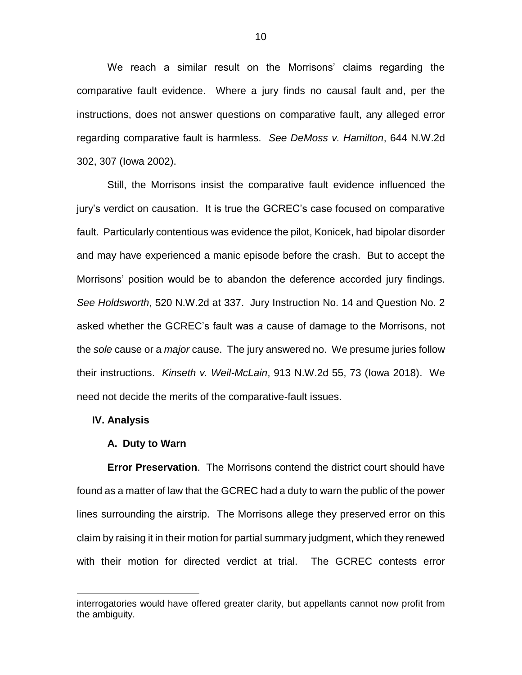We reach a similar result on the Morrisons' claims regarding the comparative fault evidence. Where a jury finds no causal fault and, per the instructions, does not answer questions on comparative fault, any alleged error regarding comparative fault is harmless. *See DeMoss v. Hamilton*, 644 N.W.2d 302, 307 (Iowa 2002).

Still, the Morrisons insist the comparative fault evidence influenced the jury's verdict on causation. It is true the GCREC's case focused on comparative fault. Particularly contentious was evidence the pilot, Konicek, had bipolar disorder and may have experienced a manic episode before the crash. But to accept the Morrisons' position would be to abandon the deference accorded jury findings. *See Holdsworth*, 520 N.W.2d at 337. Jury Instruction No. 14 and Question No. 2 asked whether the GCREC's fault was *a* cause of damage to the Morrisons, not the *sole* cause or a *major* cause. The jury answered no. We presume juries follow their instructions. *Kinseth v. Weil-McLain*, 913 N.W.2d 55, 73 (Iowa 2018). We need not decide the merits of the comparative-fault issues.

## **IV. Analysis**

 $\overline{a}$ 

#### **A. Duty to Warn**

**Error Preservation**. The Morrisons contend the district court should have found as a matter of law that the GCREC had a duty to warn the public of the power lines surrounding the airstrip. The Morrisons allege they preserved error on this claim by raising it in their motion for partial summary judgment, which they renewed with their motion for directed verdict at trial. The GCREC contests error

interrogatories would have offered greater clarity, but appellants cannot now profit from the ambiguity.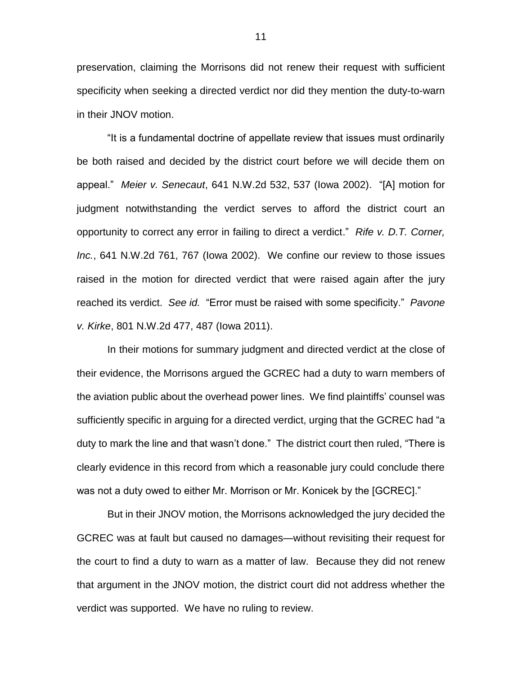preservation, claiming the Morrisons did not renew their request with sufficient specificity when seeking a directed verdict nor did they mention the duty-to-warn in their JNOV motion.

"It is a fundamental doctrine of appellate review that issues must ordinarily be both raised and decided by the district court before we will decide them on appeal." *Meier v. Senecaut*, 641 N.W.2d 532, 537 (Iowa 2002). "[A] motion for judgment notwithstanding the verdict serves to afford the district court an opportunity to correct any error in failing to direct a verdict." *Rife v. D.T. Corner, Inc.*, 641 N.W.2d 761, 767 (Iowa 2002). We confine our review to those issues raised in the motion for directed verdict that were raised again after the jury reached its verdict. *See id.* "Error must be raised with some specificity." *Pavone v. Kirke*, 801 N.W.2d 477, 487 (Iowa 2011).

In their motions for summary judgment and directed verdict at the close of their evidence, the Morrisons argued the GCREC had a duty to warn members of the aviation public about the overhead power lines. We find plaintiffs' counsel was sufficiently specific in arguing for a directed verdict, urging that the GCREC had "a duty to mark the line and that wasn't done." The district court then ruled, "There is clearly evidence in this record from which a reasonable jury could conclude there was not a duty owed to either Mr. Morrison or Mr. Konicek by the [GCREC]."

But in their JNOV motion, the Morrisons acknowledged the jury decided the GCREC was at fault but caused no damages—without revisiting their request for the court to find a duty to warn as a matter of law. Because they did not renew that argument in the JNOV motion, the district court did not address whether the verdict was supported. We have no ruling to review.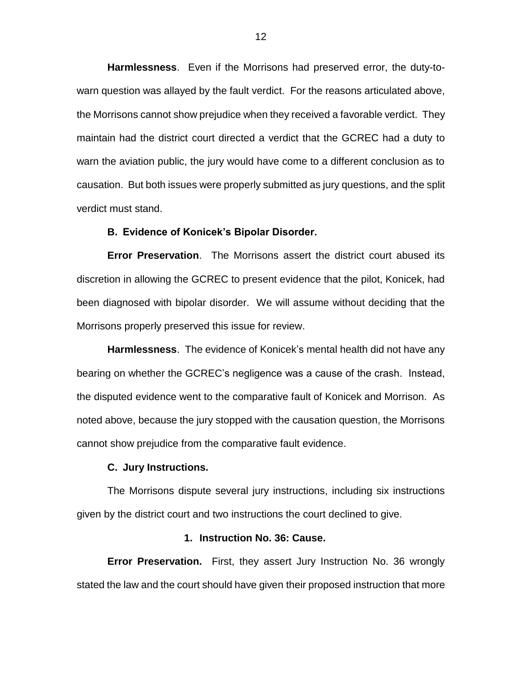**Harmlessness**. Even if the Morrisons had preserved error, the duty-towarn question was allayed by the fault verdict. For the reasons articulated above, the Morrisons cannot show prejudice when they received a favorable verdict. They maintain had the district court directed a verdict that the GCREC had a duty to warn the aviation public, the jury would have come to a different conclusion as to causation. But both issues were properly submitted as jury questions, and the split verdict must stand.

## **B. Evidence of Konicek's Bipolar Disorder.**

**Error Preservation**. The Morrisons assert the district court abused its discretion in allowing the GCREC to present evidence that the pilot, Konicek, had been diagnosed with bipolar disorder. We will assume without deciding that the Morrisons properly preserved this issue for review.

**Harmlessness**. The evidence of Konicek's mental health did not have any bearing on whether the GCREC's negligence was a cause of the crash. Instead, the disputed evidence went to the comparative fault of Konicek and Morrison. As noted above, because the jury stopped with the causation question, the Morrisons cannot show prejudice from the comparative fault evidence.

## **C. Jury Instructions.**

The Morrisons dispute several jury instructions, including six instructions given by the district court and two instructions the court declined to give.

## **1. Instruction No. 36: Cause.**

**Error Preservation.** First, they assert Jury Instruction No. 36 wrongly stated the law and the court should have given their proposed instruction that more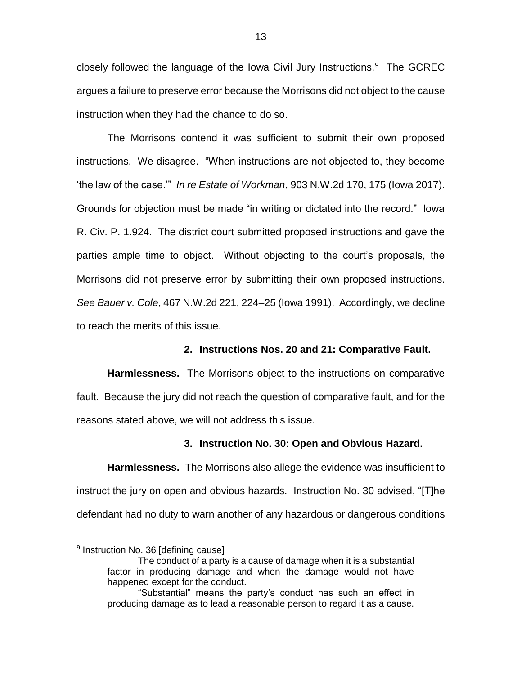closely followed the language of the Iowa Civil Jury Instructions.<sup>9</sup> The GCREC argues a failure to preserve error because the Morrisons did not object to the cause instruction when they had the chance to do so.

The Morrisons contend it was sufficient to submit their own proposed instructions. We disagree. "When instructions are not objected to, they become 'the law of the case.'" *In re Estate of Workman*, 903 N.W.2d 170, 175 (Iowa 2017). Grounds for objection must be made "in writing or dictated into the record." Iowa R. Civ. P. 1.924. The district court submitted proposed instructions and gave the parties ample time to object. Without objecting to the court's proposals, the Morrisons did not preserve error by submitting their own proposed instructions. *See Bauer v. Cole*, 467 N.W.2d 221, 224–25 (Iowa 1991). Accordingly, we decline to reach the merits of this issue.

## **2. Instructions Nos. 20 and 21: Comparative Fault.**

**Harmlessness.** The Morrisons object to the instructions on comparative fault. Because the jury did not reach the question of comparative fault, and for the reasons stated above, we will not address this issue.

## **3. Instruction No. 30: Open and Obvious Hazard.**

**Harmlessness.** The Morrisons also allege the evidence was insufficient to instruct the jury on open and obvious hazards. Instruction No. 30 advised, "[T]he defendant had no duty to warn another of any hazardous or dangerous conditions

<sup>&</sup>lt;sup>9</sup> Instruction No. 36 [defining cause]

The conduct of a party is a cause of damage when it is a substantial factor in producing damage and when the damage would not have happened except for the conduct.

<sup>&</sup>quot;Substantial" means the party's conduct has such an effect in producing damage as to lead a reasonable person to regard it as a cause.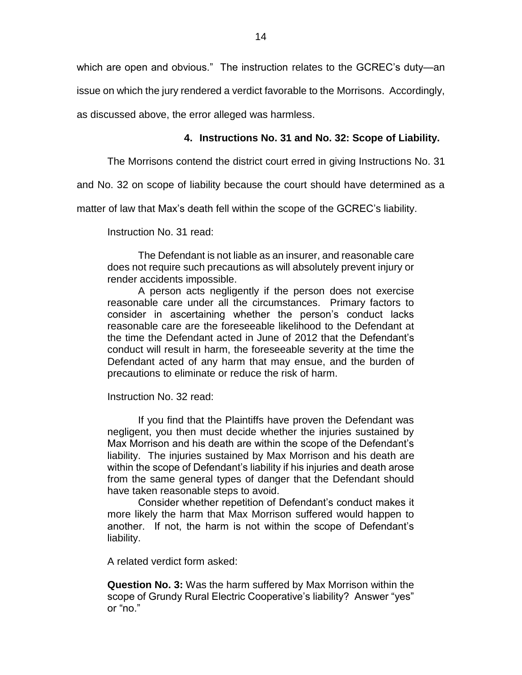which are open and obvious." The instruction relates to the GCREC's duty—an

issue on which the jury rendered a verdict favorable to the Morrisons. Accordingly,

as discussed above, the error alleged was harmless.

# **4. Instructions No. 31 and No. 32: Scope of Liability.**

The Morrisons contend the district court erred in giving Instructions No. 31

and No. 32 on scope of liability because the court should have determined as a

matter of law that Max's death fell within the scope of the GCREC's liability.

Instruction No. 31 read:

The Defendant is not liable as an insurer, and reasonable care does not require such precautions as will absolutely prevent injury or render accidents impossible.

A person acts negligently if the person does not exercise reasonable care under all the circumstances. Primary factors to consider in ascertaining whether the person's conduct lacks reasonable care are the foreseeable likelihood to the Defendant at the time the Defendant acted in June of 2012 that the Defendant's conduct will result in harm, the foreseeable severity at the time the Defendant acted of any harm that may ensue, and the burden of precautions to eliminate or reduce the risk of harm.

Instruction No. 32 read:

If you find that the Plaintiffs have proven the Defendant was negligent, you then must decide whether the injuries sustained by Max Morrison and his death are within the scope of the Defendant's liability. The injuries sustained by Max Morrison and his death are within the scope of Defendant's liability if his injuries and death arose from the same general types of danger that the Defendant should have taken reasonable steps to avoid.

Consider whether repetition of Defendant's conduct makes it more likely the harm that Max Morrison suffered would happen to another. If not, the harm is not within the scope of Defendant's liability.

A related verdict form asked:

**Question No. 3:** Was the harm suffered by Max Morrison within the scope of Grundy Rural Electric Cooperative's liability? Answer "yes" or "no."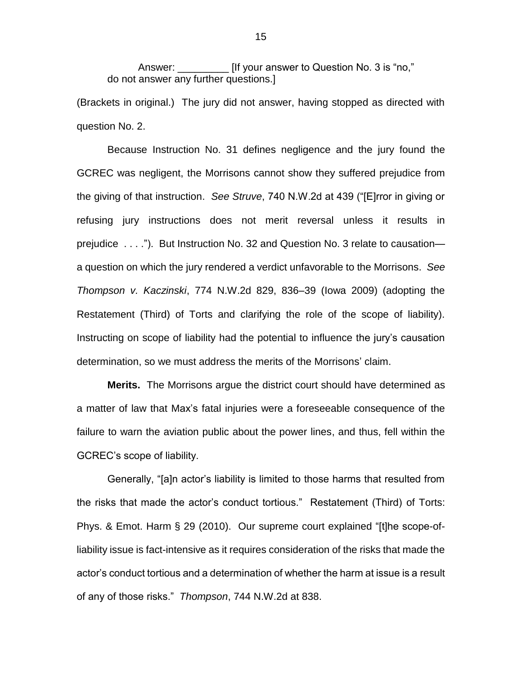Answer: \_\_\_\_\_\_\_\_\_ [If your answer to Question No. 3 is "no," do not answer any further questions.]

(Brackets in original.) The jury did not answer, having stopped as directed with question No. 2.

Because Instruction No. 31 defines negligence and the jury found the GCREC was negligent, the Morrisons cannot show they suffered prejudice from the giving of that instruction. *See Struve*, 740 N.W.2d at 439 ("[E]rror in giving or refusing jury instructions does not merit reversal unless it results in prejudice . . . ."). But Instruction No. 32 and Question No. 3 relate to causation a question on which the jury rendered a verdict unfavorable to the Morrisons. *See Thompson v. Kaczinski*, 774 N.W.2d 829, 836–39 (Iowa 2009) (adopting the Restatement (Third) of Torts and clarifying the role of the scope of liability). Instructing on scope of liability had the potential to influence the jury's causation determination, so we must address the merits of the Morrisons' claim.

**Merits.** The Morrisons argue the district court should have determined as a matter of law that Max's fatal injuries were a foreseeable consequence of the failure to warn the aviation public about the power lines, and thus, fell within the GCREC's scope of liability.

Generally, "[a]n actor's liability is limited to those harms that resulted from the risks that made the actor's conduct tortious." Restatement (Third) of Torts: Phys. & Emot. Harm § 29 (2010). Our supreme court explained "[t]he scope-ofliability issue is fact-intensive as it requires consideration of the risks that made the actor's conduct tortious and a determination of whether the harm at issue is a result of any of those risks." *Thompson*, 744 N.W.2d at 838.